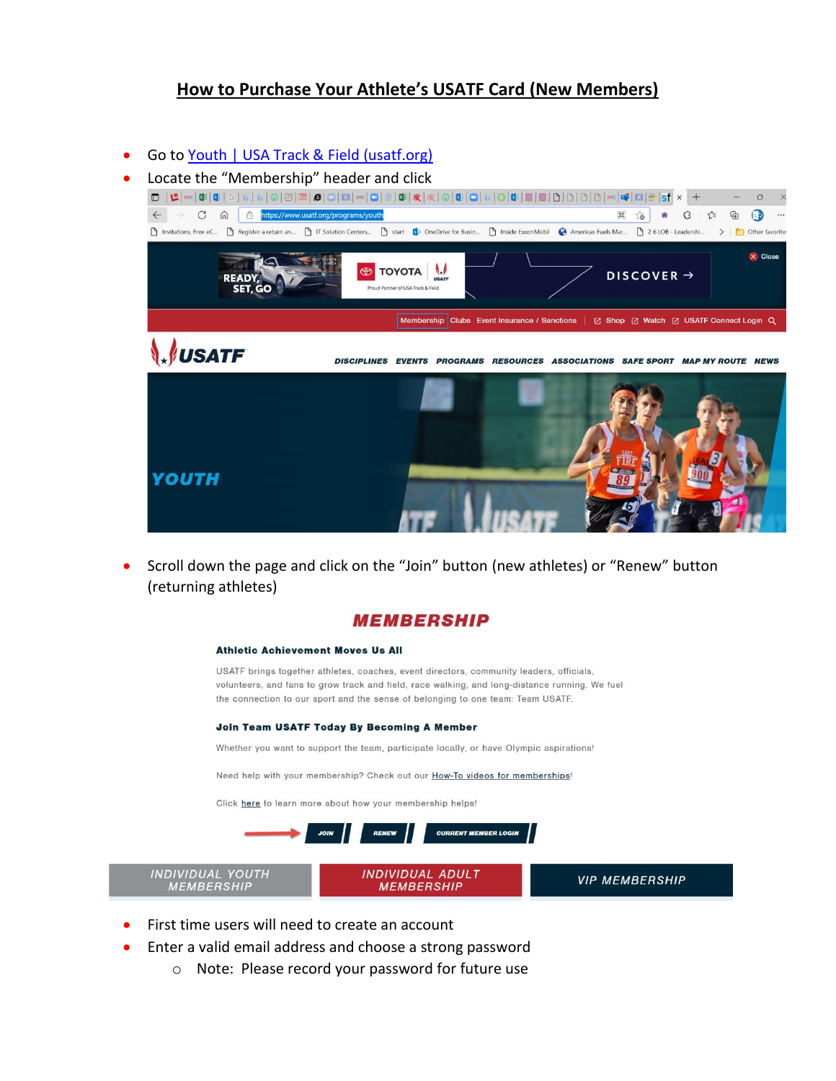# **How to Purchase Your Athlete's USATF Card (New Members)**

### Go t[o Youth | USA Track & Field \(usatf.org\)](https://www.usatf.org/programs/youth)

• Locate the "Membership" header and click



• Scroll down the page and click on the "Join" button (new athletes) or "Renew" button (returning athletes)

## **MEMBERSHIP**

### **Athletic Achievement Moves Us All**

USATF brings together athletes, coaches, event directors, community leaders, officials, volunteers, and fans to grow track and field, race walking, and long-distance running. We fuel the connection to our sport and the sense of belonging to one team: Team USATF.

#### **Join Team USATF Today By Becoming A Member**

Whether you want to support the team, participate locally, or have Olympic aspirations!

Need help with your membership? Check out our How-To videos for memberships!

Click here to learn more about how your membership helps!



- First time users will need to create an account
- Enter a valid email address and choose a strong password
	- o Note: Please record your password for future use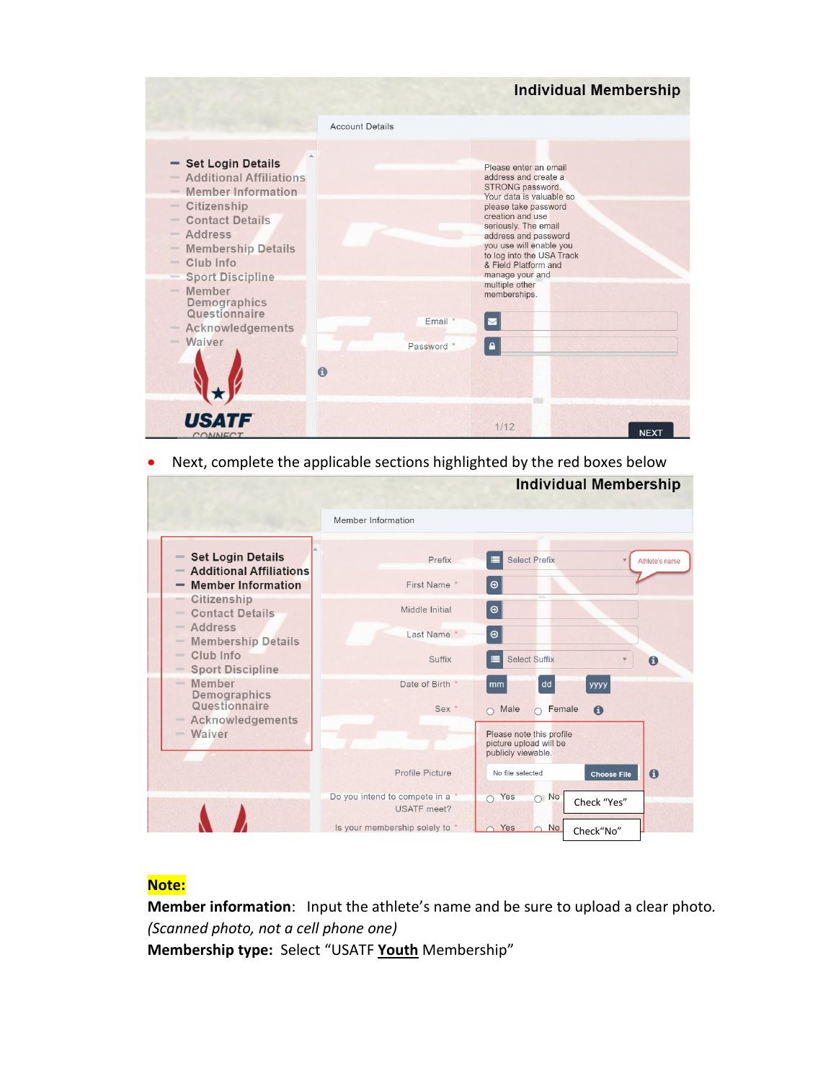|                                                                                                                                                                                                                                                                                                                                                            |                            | <b>Individual Membership</b>                                                                                                                                                                                                                                                                                                                   |
|------------------------------------------------------------------------------------------------------------------------------------------------------------------------------------------------------------------------------------------------------------------------------------------------------------------------------------------------------------|----------------------------|------------------------------------------------------------------------------------------------------------------------------------------------------------------------------------------------------------------------------------------------------------------------------------------------------------------------------------------------|
|                                                                                                                                                                                                                                                                                                                                                            | <b>Account Details</b>     |                                                                                                                                                                                                                                                                                                                                                |
| - Set Login Details<br>- Additional Affiliations<br><b>Member Information</b><br>- Citizenship<br><b>Contact Details</b><br>$\sim$<br><b>Address</b><br>$\frac{1}{2}$<br><b>Membership Details</b><br>$\qquad \qquad =$<br>$=$ Club Info<br><b>Sport Discipline</b><br>$=$<br>- Member<br>Demographics<br>Questionnaire<br>- Acknowledgements<br>$-Waiver$ | Email *<br>Password *<br>ω | Please enter an email<br>address and create a<br>STRONG password.<br>Your data is valuable so<br>please take password<br>creation and use<br>seriously. The email<br>address and password<br>you use will enable you<br>to log into the USA Track<br>& Field Platform and<br>manage your and<br>multiple other<br>memberships.<br>$\mathbf{a}$ |
| COMMECT                                                                                                                                                                                                                                                                                                                                                    |                            | 1/12<br><b>NEXT</b>                                                                                                                                                                                                                                                                                                                            |

• Next, complete the applicable sections highlighted by the red boxes below

|                                                                                                                  |                                                     | <b>Individual Membership</b>                                             |
|------------------------------------------------------------------------------------------------------------------|-----------------------------------------------------|--------------------------------------------------------------------------|
|                                                                                                                  | Member Information                                  |                                                                          |
| <b>Set Login Details</b><br>$\qquad \qquad =\qquad$<br><b>Additional Affiliations</b><br>$\qquad \qquad =\qquad$ | Prefix                                              | <b>Select Prefix</b><br>Athlete's name                                   |
| <b>Member Information</b>                                                                                        | First Name *                                        | $\odot$                                                                  |
| Citizenship<br>$\frac{1}{2}$<br><b>Contact Details</b><br>$\frac{1}{2}$                                          | Middle Initial                                      | $\bullet$                                                                |
| Address<br>$\frac{1}{2}$<br><b>Membership Details</b><br>$\qquad \qquad =$                                       | Last Name *                                         | $\bullet$                                                                |
| Club Info<br>$\frac{1}{2}$<br><b>Sport Discipline</b><br>$\frac{1}{2}$                                           | Suffix                                              | <b>Select Suffix</b><br>$\mathbf{O}$                                     |
| Member<br>$\frac{1}{2}$<br>Demographics                                                                          | Date of Birth                                       | dd<br>уууу<br>mm                                                         |
| Questionnaire<br>Acknowledgements<br>$\frac{1}{2}$                                                               | Sex <sup>*</sup>                                    | $\mathbf \Theta$<br>Male<br>Female<br>$\bigcap$<br>$\bigcap$             |
| Waiver<br>1000                                                                                                   |                                                     | Please note this profile<br>picture upload will be<br>publicly viewable. |
|                                                                                                                  | Profile Picture                                     | No file selected<br>$\mathbf \Theta$<br><b>Choose File</b>               |
|                                                                                                                  | Do you intend to compete in a<br><b>USATF</b> meet? | Yes<br>$\circ$ No<br>$\cap$<br>Check "Yes"                               |
|                                                                                                                  | Is your membership solely to *                      | Yes<br>No<br>$\cap$<br>Check"No"                                         |

## **Note:**

**Member information**: Input the athlete's name and be sure to upload a clear photo*. (Scanned photo, not a cell phone one)* **Membership type:** Select "USATF **Youth** Membership"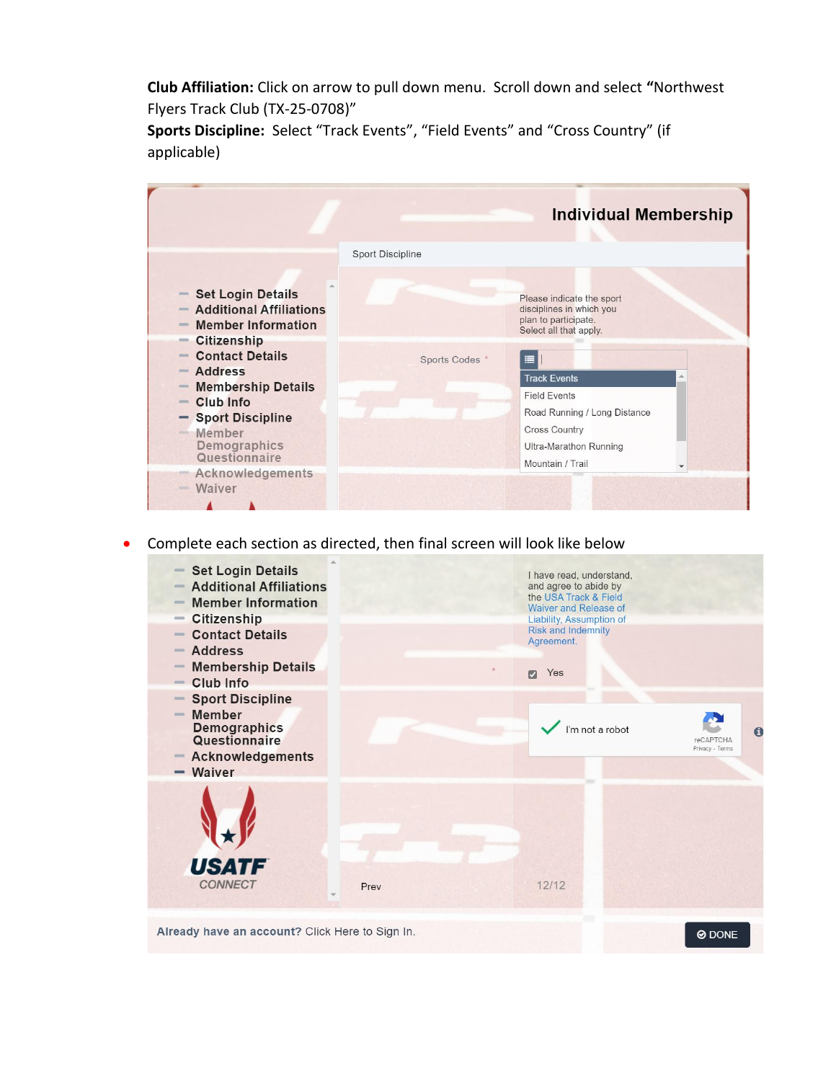**Club Affiliation:** Click on arrow to pull down menu. Scroll down and select **"**Northwest Flyers Track Club (TX-25-0708)"

**Sports Discipline:** Select "Track Events", "Field Events" and "Cross Country" (if applicable)

|                                                                                                                                          |                         | <b>Individual Membership</b>                                                                            |
|------------------------------------------------------------------------------------------------------------------------------------------|-------------------------|---------------------------------------------------------------------------------------------------------|
|                                                                                                                                          | <b>Sport Discipline</b> |                                                                                                         |
| <b>Set Login Details</b><br>$\qquad \qquad = \qquad$<br><b>Additional Affiliations</b><br><b>Member Information</b><br>$\qquad \qquad =$ |                         | Please indicate the sport<br>disciplines in which you<br>plan to participate.<br>Select all that apply. |
| <b>Citizenship</b><br>$\equiv$<br><b>Contact Details</b><br><b>Address</b><br>$=$<br><b>Membership Details</b><br>$\equiv$               | Sports Codes *          | ≡<br><b>Track Events</b>                                                                                |
| Club Info<br>$\sim$<br><b>Sport Discipline</b><br>Member<br><b>COLOR</b>                                                                 |                         | <b>Field Events</b><br>Road Running / Long Distance<br><b>Cross Country</b>                             |
| Demographics<br>Questionnaire<br>Acknowledgements                                                                                        |                         | Ultra-Marathon Running<br>Mountain / Trail                                                              |
| Waiver                                                                                                                                   |                         |                                                                                                         |

• Complete each section as directed, then final screen will look like below